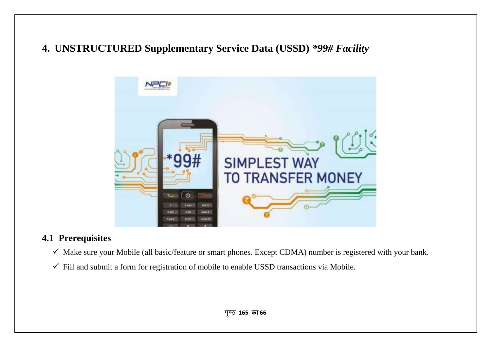# **4. UNSTRUCTURED Supplementary Service Data (USSD)** *\*99# Facility*



# **4.1 Prerequisites**

- $\checkmark$  Make sure your Mobile (all basic/feature or smart phones. Except CDMA) number is registered with your bank.
- $\checkmark$  Fill and submit a form for registration of mobile to enable USSD transactions via Mobile.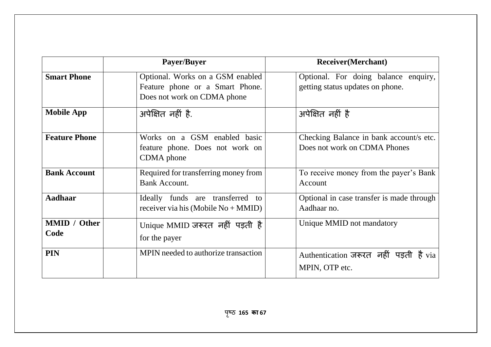|                             | Payer/Buyer                                                                                        | <b>Receiver</b> (Merchant)                                               |
|-----------------------------|----------------------------------------------------------------------------------------------------|--------------------------------------------------------------------------|
| <b>Smart Phone</b>          | Optional. Works on a GSM enabled<br>Feature phone or a Smart Phone.<br>Does not work on CDMA phone | Optional. For doing balance enquiry,<br>getting status updates on phone. |
| <b>Mobile App</b>           | अपेक्षित नहीं है.                                                                                  | अपेक्षित नहीं है                                                         |
| <b>Feature Phone</b>        | Works on a GSM enabled basic<br>feature phone. Does not work on<br>CDMA phone                      | Checking Balance in bank account/s etc.<br>Does not work on CDMA Phones  |
| <b>Bank Account</b>         | Required for transferring money from<br><b>Bank Account.</b>                                       | To receive money from the payer's Bank<br>Account                        |
| <b>Aadhaar</b>              | Ideally funds are transferred<br>to<br>receiver via his (Mobile $No + MMID$ )                      | Optional in case transfer is made through<br>Aadhaar no.                 |
| <b>MMID</b> / Other<br>Code | Unique MMID जरूरत नहीं पड़ती है<br>for the payer                                                   | Unique MMID not mandatory                                                |
| <b>PIN</b>                  | MPIN needed to authorize transaction                                                               | Authentication जरूरत नहीं पड़ती है via<br>MPIN, OTP etc.                 |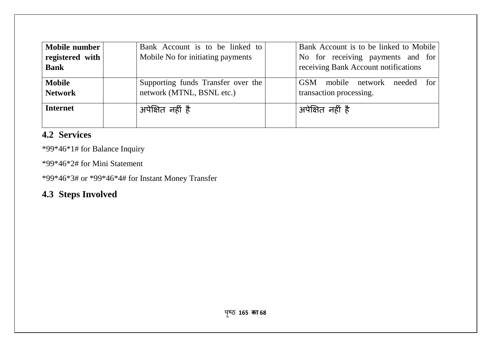| Mobile number<br>registered with $\vert$<br><b>Bank</b> | Bank Account is to be linked to<br>Mobile No for initiating payments | Bank Account is to be linked to Mobile<br>No for receiving payments and for<br>receiving Bank Account notifications |
|---------------------------------------------------------|----------------------------------------------------------------------|---------------------------------------------------------------------------------------------------------------------|
| <b>Mobile</b><br><b>Network</b>                         | Supporting funds Transfer over the<br>network (MTNL, BSNL etc.)      | <b>GSM</b><br>mobile network<br>for<br>needed<br>transaction processing.                                            |
| <b>Internet</b>                                         | अपेक्षित नहीं है                                                     | अपेक्षित नहीं है                                                                                                    |

# **4.2 Services**

\*99\*46\*1# for Balance Inquiry

\*99\*46\*2# for Mini Statement

\*99\*46\*3# or \*99\*46\*4# for Instant Money Transfer

# **4.3 Steps Involved**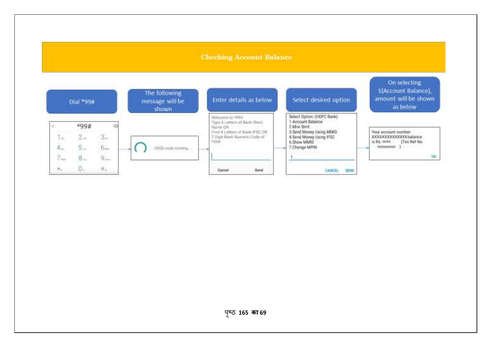#### **Checking Account Balance**

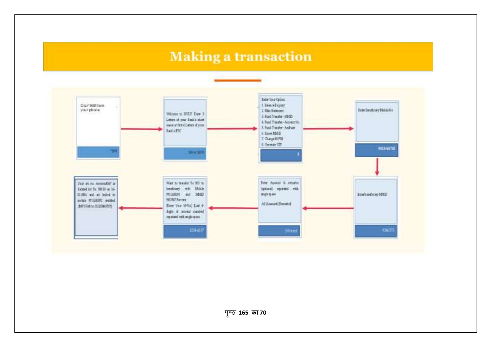# **Making a transaction**



पृष्ठ 165 **का 70**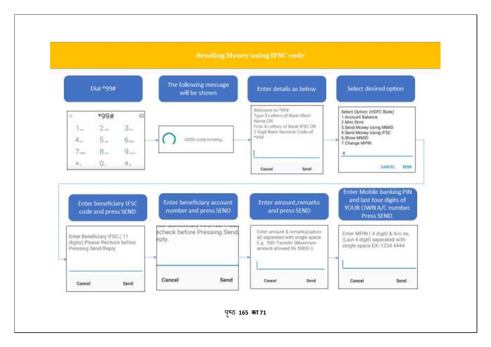#### **Sending Money using IFSC code**



पृष्ठ 165 का 71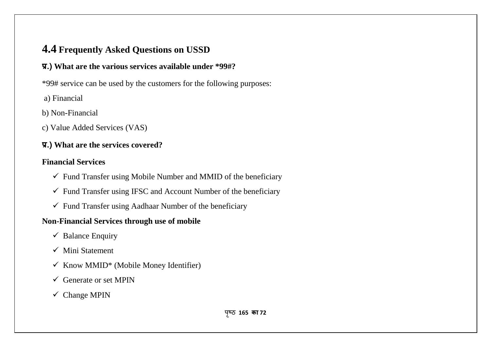# **4.4 Frequently Asked Questions on USSD**

# **प्र.) What are the various services available under \*99#?**

\*99# service can be used by the customers for the following purposes:

- a) Financial
- b) Non-Financial
- c) Value Added Services (VAS)

## **प्र.) What are the services covered?**

### **Financial Services**

- $\checkmark$  Fund Transfer using Mobile Number and MMID of the beneficiary
- $\checkmark$  Fund Transfer using IFSC and Account Number of the beneficiary
- $\checkmark$  Fund Transfer using Aadhaar Number of the beneficiary

## **Non-Financial Services through use of mobile**

- $\checkmark$  Balance Enquiry
- $\checkmark$  Mini Statement
- $\checkmark$  Know MMID\* (Mobile Money Identifier)
- $\checkmark$  Generate or set MPIN
- $\checkmark$  Change MPIN